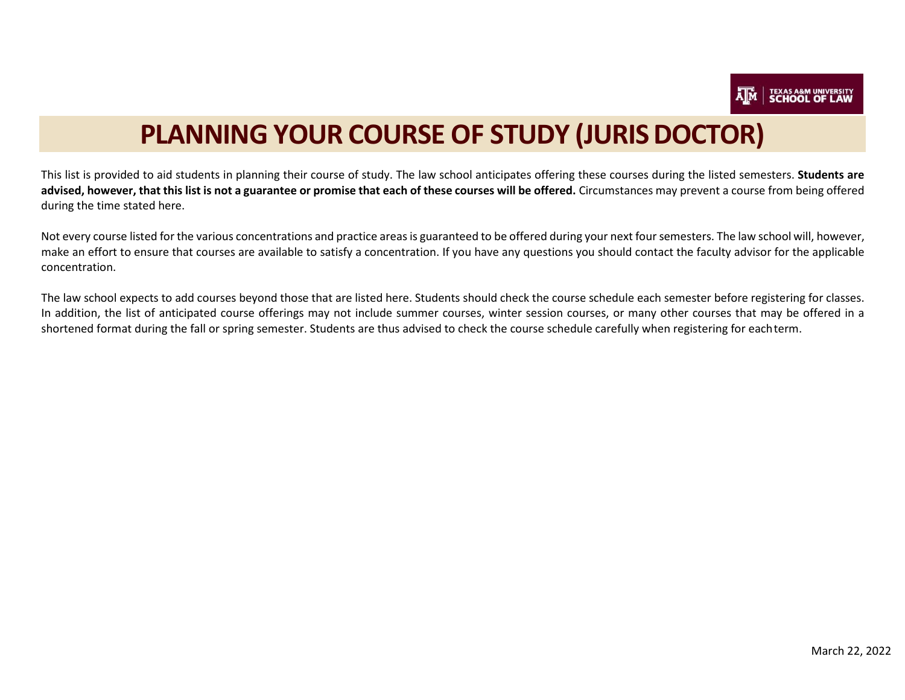

# **PLANNING YOUR COURSE OF STUDY (JURIS DOCTOR)**

This list is provided to aid students in planning their course of study. The law school anticipates offering these courses during the listed semesters. **Students are**  advised, however, that this list is not a guarantee or promise that each of these courses will be offered. Circumstances may prevent a course from being offered during the time stated here.

Not every course listed for the various concentrations and practice areas is guaranteed to be offered during your next four semesters. The law school will, however, make an effort to ensure that courses are available to satisfy a concentration. If you have any questions you should contact the faculty advisor for the applicable concentration.

The law school expects to add courses beyond those that are listed here. Students should check the course schedule each semester before registering for classes. In addition, the list of anticipated course offerings may not include summer courses, winter session courses, or many other courses that may be offered in a shortened format during the fall or spring semester. Students are thus advised to check the course schedule carefully when registering for eachterm.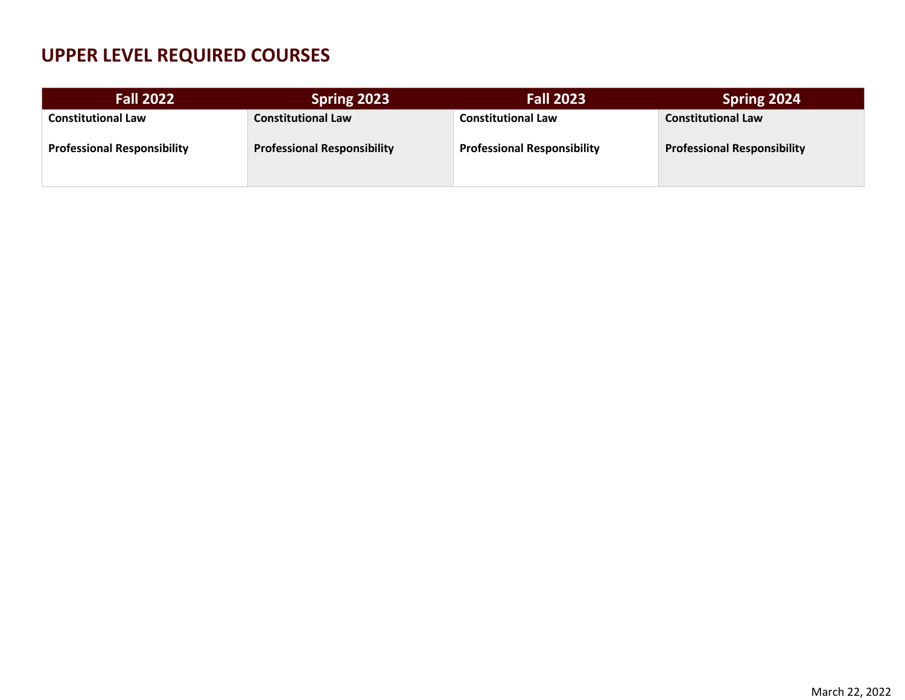## **UPPER LEVEL REQUIRED COURSES**

| <b>Fall 2022</b>                   | Spring 2023                        | <b>Fall 2023</b>                   | Spring 2024                        |
|------------------------------------|------------------------------------|------------------------------------|------------------------------------|
| <b>Constitutional Law</b>          | <b>Constitutional Law</b>          | <b>Constitutional Law</b>          | <b>Constitutional Law</b>          |
| <b>Professional Responsibility</b> | <b>Professional Responsibility</b> | <b>Professional Responsibility</b> | <b>Professional Responsibility</b> |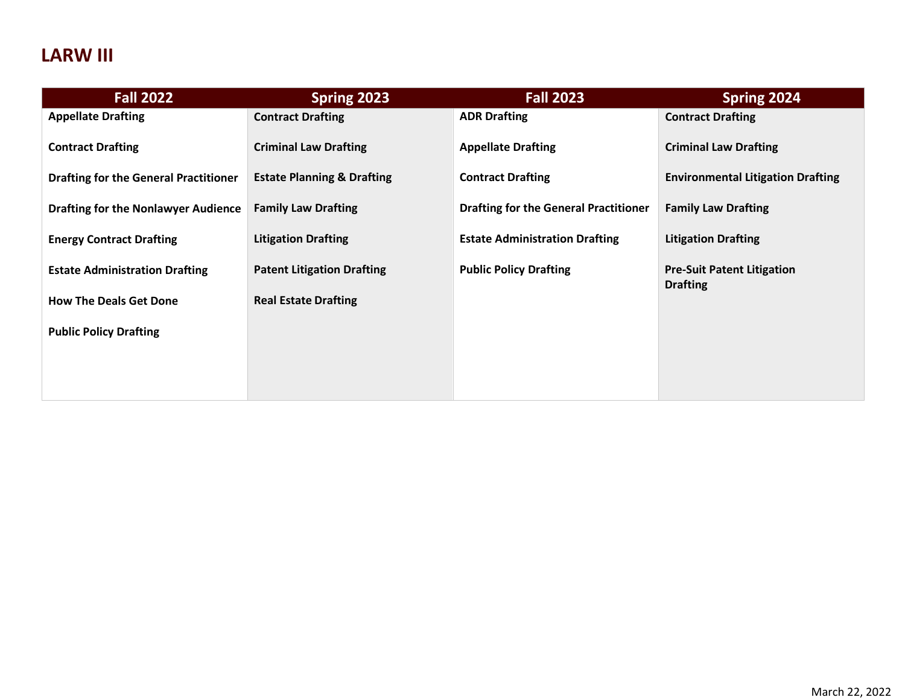## **LARW III**

| <b>Fall 2022</b>                             | Spring 2023                           | <b>Fall 2023</b>                             | Spring 2024                                          |
|----------------------------------------------|---------------------------------------|----------------------------------------------|------------------------------------------------------|
| <b>Appellate Drafting</b>                    | <b>Contract Drafting</b>              | <b>ADR Drafting</b>                          | <b>Contract Drafting</b>                             |
| <b>Contract Drafting</b>                     | <b>Criminal Law Drafting</b>          | <b>Appellate Drafting</b>                    | <b>Criminal Law Drafting</b>                         |
| <b>Drafting for the General Practitioner</b> | <b>Estate Planning &amp; Drafting</b> | <b>Contract Drafting</b>                     | <b>Environmental Litigation Drafting</b>             |
| <b>Drafting for the Nonlawyer Audience</b>   | <b>Family Law Drafting</b>            | <b>Drafting for the General Practitioner</b> | <b>Family Law Drafting</b>                           |
| <b>Energy Contract Drafting</b>              | <b>Litigation Drafting</b>            | <b>Estate Administration Drafting</b>        | <b>Litigation Drafting</b>                           |
| <b>Estate Administration Drafting</b>        | <b>Patent Litigation Drafting</b>     | <b>Public Policy Drafting</b>                | <b>Pre-Suit Patent Litigation</b><br><b>Drafting</b> |
| <b>How The Deals Get Done</b>                | <b>Real Estate Drafting</b>           |                                              |                                                      |
| <b>Public Policy Drafting</b>                |                                       |                                              |                                                      |
|                                              |                                       |                                              |                                                      |
|                                              |                                       |                                              |                                                      |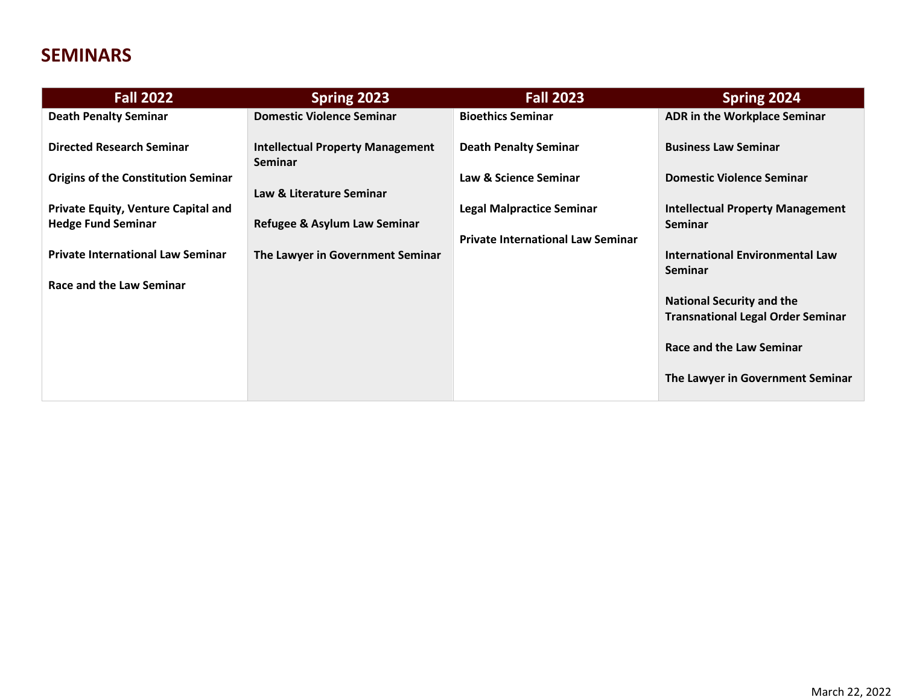## **SEMINARS**

| <b>Fall 2022</b>                           | <b>Spring 2023</b>                                        | <b>Fall 2023</b>                         | Spring 2024                                                                  |
|--------------------------------------------|-----------------------------------------------------------|------------------------------------------|------------------------------------------------------------------------------|
| <b>Death Penalty Seminar</b>               | <b>Domestic Violence Seminar</b>                          | <b>Bioethics Seminar</b>                 | <b>ADR in the Workplace Seminar</b>                                          |
| <b>Directed Research Seminar</b>           | <b>Intellectual Property Management</b><br><b>Seminar</b> | <b>Death Penalty Seminar</b>             | <b>Business Law Seminar</b>                                                  |
| <b>Origins of the Constitution Seminar</b> | Law & Literature Seminar                                  | Law & Science Seminar                    | <b>Domestic Violence Seminar</b>                                             |
| Private Equity, Venture Capital and        |                                                           | <b>Legal Malpractice Seminar</b>         | <b>Intellectual Property Management</b>                                      |
| <b>Hedge Fund Seminar</b>                  | Refugee & Asylum Law Seminar                              |                                          | <b>Seminar</b>                                                               |
| <b>Private International Law Seminar</b>   | The Lawyer in Government Seminar                          | <b>Private International Law Seminar</b> | <b>International Environmental Law</b><br><b>Seminar</b>                     |
| Race and the Law Seminar                   |                                                           |                                          |                                                                              |
|                                            |                                                           |                                          | <b>National Security and the</b><br><b>Transnational Legal Order Seminar</b> |
|                                            |                                                           |                                          | Race and the Law Seminar                                                     |
|                                            |                                                           |                                          | The Lawyer in Government Seminar                                             |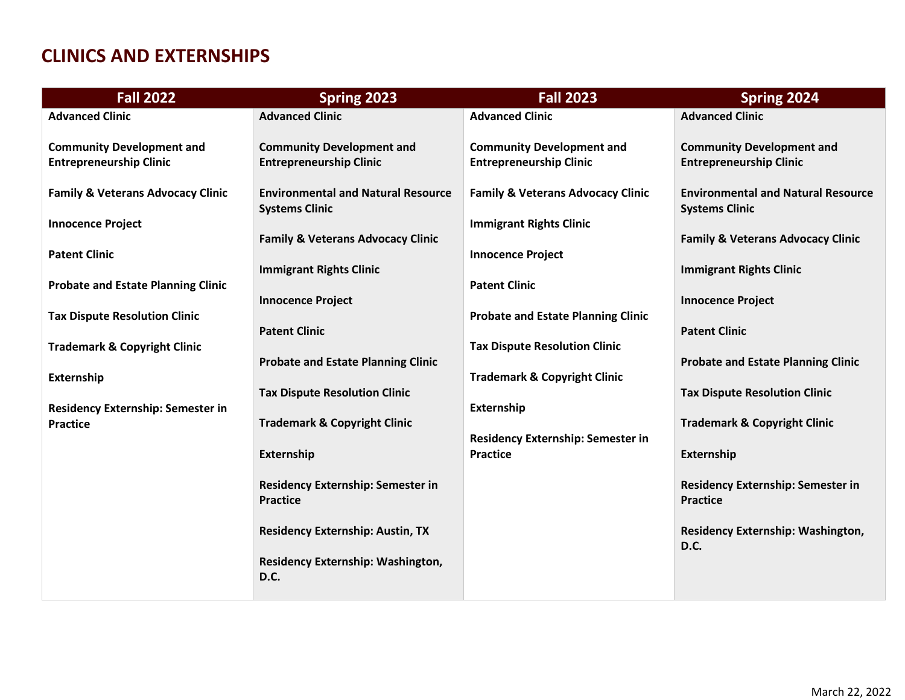#### **CLINICS AND EXTERNSHIPS**

| <b>Fall 2022</b>                                                   | Spring 2023                                                        | <b>Fall 2023</b>                                                   | Spring 2024                                                        |
|--------------------------------------------------------------------|--------------------------------------------------------------------|--------------------------------------------------------------------|--------------------------------------------------------------------|
| <b>Advanced Clinic</b>                                             | <b>Advanced Clinic</b>                                             | <b>Advanced Clinic</b>                                             | <b>Advanced Clinic</b>                                             |
| <b>Community Development and</b><br><b>Entrepreneurship Clinic</b> | <b>Community Development and</b><br><b>Entrepreneurship Clinic</b> | <b>Community Development and</b><br><b>Entrepreneurship Clinic</b> | <b>Community Development and</b><br><b>Entrepreneurship Clinic</b> |
| <b>Family &amp; Veterans Advocacy Clinic</b>                       | <b>Environmental and Natural Resource</b><br><b>Systems Clinic</b> | <b>Family &amp; Veterans Advocacy Clinic</b>                       | <b>Environmental and Natural Resource</b><br><b>Systems Clinic</b> |
| <b>Innocence Project</b>                                           |                                                                    | <b>Immigrant Rights Clinic</b>                                     |                                                                    |
| <b>Patent Clinic</b>                                               | <b>Family &amp; Veterans Advocacy Clinic</b>                       | <b>Innocence Project</b>                                           | <b>Family &amp; Veterans Advocacy Clinic</b>                       |
|                                                                    | <b>Immigrant Rights Clinic</b>                                     |                                                                    | <b>Immigrant Rights Clinic</b>                                     |
| <b>Probate and Estate Planning Clinic</b>                          | <b>Innocence Project</b>                                           | <b>Patent Clinic</b>                                               | <b>Innocence Project</b>                                           |
| <b>Tax Dispute Resolution Clinic</b>                               |                                                                    | <b>Probate and Estate Planning Clinic</b>                          |                                                                    |
|                                                                    | <b>Patent Clinic</b>                                               |                                                                    | <b>Patent Clinic</b>                                               |
| <b>Trademark &amp; Copyright Clinic</b>                            | <b>Probate and Estate Planning Clinic</b>                          | <b>Tax Dispute Resolution Clinic</b>                               | <b>Probate and Estate Planning Clinic</b>                          |
| Externship                                                         |                                                                    | <b>Trademark &amp; Copyright Clinic</b>                            |                                                                    |
| Residency Externship: Semester in                                  | <b>Tax Dispute Resolution Clinic</b>                               | Externship                                                         | <b>Tax Dispute Resolution Clinic</b>                               |
| <b>Practice</b>                                                    | <b>Trademark &amp; Copyright Clinic</b>                            |                                                                    | <b>Trademark &amp; Copyright Clinic</b>                            |
|                                                                    |                                                                    | <b>Residency Externship: Semester in</b>                           |                                                                    |
|                                                                    | Externship                                                         | <b>Practice</b>                                                    | Externship                                                         |
|                                                                    | <b>Residency Externship: Semester in</b><br><b>Practice</b>        |                                                                    | Residency Externship: Semester in<br><b>Practice</b>               |
|                                                                    |                                                                    |                                                                    |                                                                    |
|                                                                    | <b>Residency Externship: Austin, TX</b>                            |                                                                    | Residency Externship: Washington,<br>D.C.                          |
|                                                                    | Residency Externship: Washington,<br>D.C.                          |                                                                    |                                                                    |
|                                                                    |                                                                    |                                                                    |                                                                    |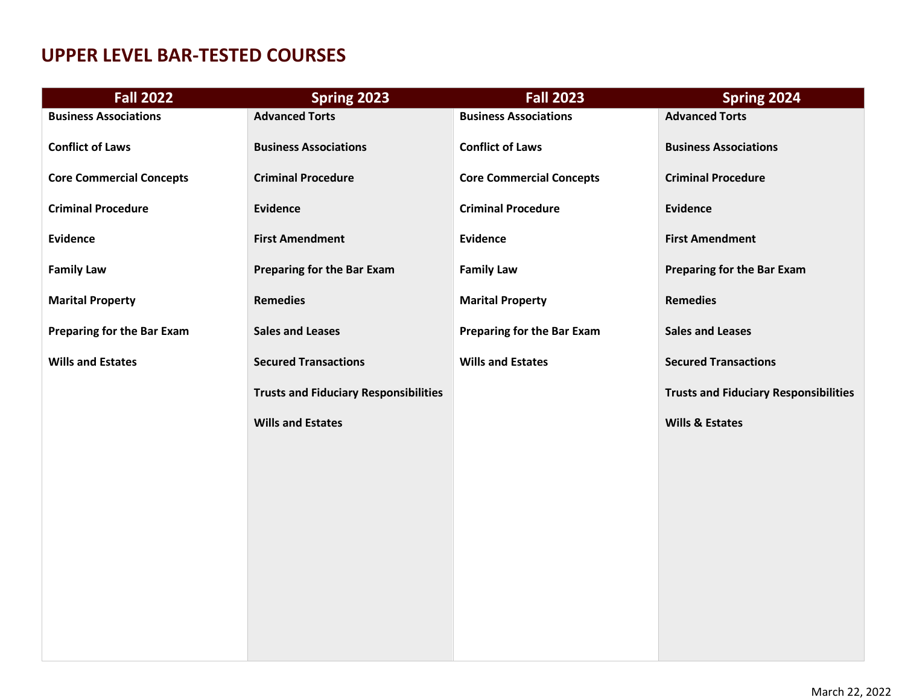## **UPPER LEVEL BAR-TESTED COURSES**

| <b>Fall 2022</b>                  | Spring 2023                                  | <b>Fall 2023</b>                  | Spring 2024                                  |
|-----------------------------------|----------------------------------------------|-----------------------------------|----------------------------------------------|
| <b>Business Associations</b>      | <b>Advanced Torts</b>                        | <b>Business Associations</b>      | <b>Advanced Torts</b>                        |
| <b>Conflict of Laws</b>           | <b>Business Associations</b>                 | <b>Conflict of Laws</b>           | <b>Business Associations</b>                 |
| <b>Core Commercial Concepts</b>   | <b>Criminal Procedure</b>                    | <b>Core Commercial Concepts</b>   | <b>Criminal Procedure</b>                    |
| <b>Criminal Procedure</b>         | <b>Evidence</b>                              | <b>Criminal Procedure</b>         | <b>Evidence</b>                              |
| <b>Evidence</b>                   | <b>First Amendment</b>                       | <b>Evidence</b>                   | <b>First Amendment</b>                       |
| <b>Family Law</b>                 | <b>Preparing for the Bar Exam</b>            | <b>Family Law</b>                 | <b>Preparing for the Bar Exam</b>            |
| <b>Marital Property</b>           | <b>Remedies</b>                              | <b>Marital Property</b>           | <b>Remedies</b>                              |
| <b>Preparing for the Bar Exam</b> | <b>Sales and Leases</b>                      | <b>Preparing for the Bar Exam</b> | <b>Sales and Leases</b>                      |
| <b>Wills and Estates</b>          | <b>Secured Transactions</b>                  | <b>Wills and Estates</b>          | <b>Secured Transactions</b>                  |
|                                   | <b>Trusts and Fiduciary Responsibilities</b> |                                   | <b>Trusts and Fiduciary Responsibilities</b> |
|                                   | <b>Wills and Estates</b>                     |                                   | <b>Wills &amp; Estates</b>                   |
|                                   |                                              |                                   |                                              |
|                                   |                                              |                                   |                                              |
|                                   |                                              |                                   |                                              |
|                                   |                                              |                                   |                                              |
|                                   |                                              |                                   |                                              |
|                                   |                                              |                                   |                                              |
|                                   |                                              |                                   |                                              |
|                                   |                                              |                                   |                                              |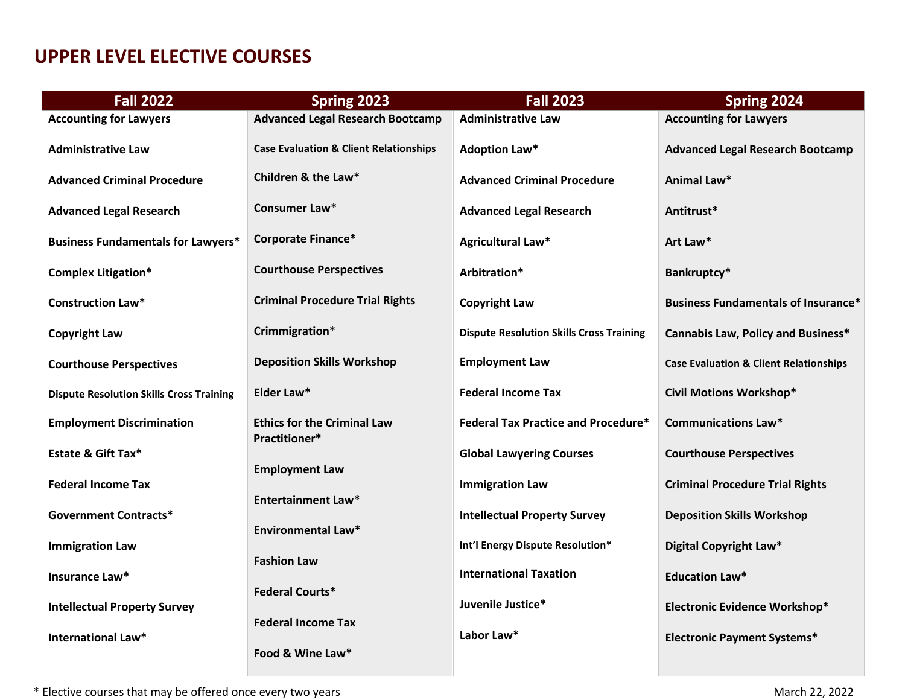#### **UPPER LEVEL ELECTIVE COURSES**

| <b>Fall 2022</b>                                | Spring 2023                                         | <b>Fall 2023</b>                                | Spring 2024                                       |
|-------------------------------------------------|-----------------------------------------------------|-------------------------------------------------|---------------------------------------------------|
| <b>Accounting for Lawyers</b>                   | <b>Advanced Legal Research Bootcamp</b>             | <b>Administrative Law</b>                       | <b>Accounting for Lawyers</b>                     |
| <b>Administrative Law</b>                       | <b>Case Evaluation &amp; Client Relationships</b>   | <b>Adoption Law*</b>                            | <b>Advanced Legal Research Bootcamp</b>           |
| <b>Advanced Criminal Procedure</b>              | Children & the Law*                                 | <b>Advanced Criminal Procedure</b>              | Animal Law*                                       |
| <b>Advanced Legal Research</b>                  | Consumer Law*                                       | <b>Advanced Legal Research</b>                  | Antitrust*                                        |
| <b>Business Fundamentals for Lawyers*</b>       | <b>Corporate Finance*</b>                           | Agricultural Law*                               | Art Law*                                          |
| <b>Complex Litigation*</b>                      | <b>Courthouse Perspectives</b>                      | Arbitration*                                    | Bankruptcy*                                       |
| <b>Construction Law*</b>                        | <b>Criminal Procedure Trial Rights</b>              | <b>Copyright Law</b>                            | <b>Business Fundamentals of Insurance*</b>        |
| <b>Copyright Law</b>                            | Crimmigration*                                      | <b>Dispute Resolution Skills Cross Training</b> | <b>Cannabis Law, Policy and Business*</b>         |
| <b>Courthouse Perspectives</b>                  | <b>Deposition Skills Workshop</b>                   | <b>Employment Law</b>                           | <b>Case Evaluation &amp; Client Relationships</b> |
| <b>Dispute Resolution Skills Cross Training</b> | Elder Law*                                          | <b>Federal Income Tax</b>                       | <b>Civil Motions Workshop*</b>                    |
| <b>Employment Discrimination</b>                | <b>Ethics for the Criminal Law</b><br>Practitioner* | <b>Federal Tax Practice and Procedure*</b>      | <b>Communications Law*</b>                        |
| <b>Estate &amp; Gift Tax*</b>                   | <b>Employment Law</b>                               | <b>Global Lawyering Courses</b>                 | <b>Courthouse Perspectives</b>                    |
| <b>Federal Income Tax</b>                       | <b>Entertainment Law*</b>                           | <b>Immigration Law</b>                          | <b>Criminal Procedure Trial Rights</b>            |
| <b>Government Contracts*</b>                    | <b>Environmental Law*</b>                           | <b>Intellectual Property Survey</b>             | <b>Deposition Skills Workshop</b>                 |
| <b>Immigration Law</b>                          |                                                     | Int'l Energy Dispute Resolution*                | Digital Copyright Law*                            |
| Insurance Law*                                  | <b>Fashion Law</b>                                  | <b>International Taxation</b>                   | <b>Education Law*</b>                             |
| <b>Intellectual Property Survey</b>             | <b>Federal Courts*</b>                              | Juvenile Justice*                               | <b>Electronic Evidence Workshop*</b>              |
| <b>International Law*</b>                       | <b>Federal Income Tax</b>                           | Labor Law*                                      | <b>Electronic Payment Systems*</b>                |
|                                                 | Food & Wine Law*                                    |                                                 |                                                   |

\* Elective courses that may be offered once every two years March 22, 2022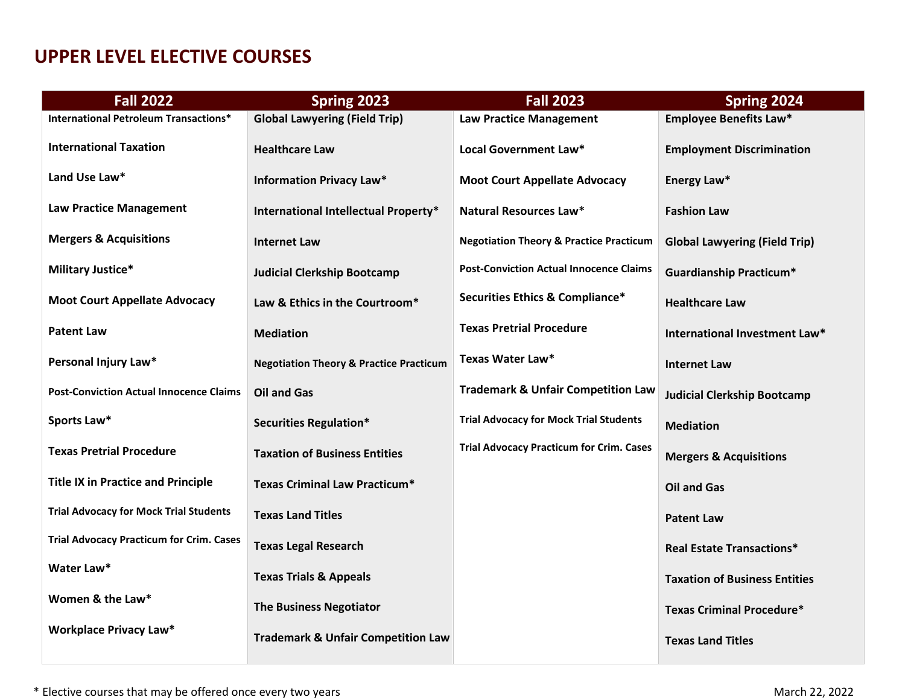#### **UPPER LEVEL ELECTIVE COURSES**

| <b>Fall 2022</b>                                | Spring 2023                                        | <b>Fall 2023</b>                                   | Spring 2024                          |
|-------------------------------------------------|----------------------------------------------------|----------------------------------------------------|--------------------------------------|
| <b>International Petroleum Transactions*</b>    | <b>Global Lawyering (Field Trip)</b>               | <b>Law Practice Management</b>                     | <b>Employee Benefits Law*</b>        |
| <b>International Taxation</b>                   | <b>Healthcare Law</b>                              | Local Government Law*                              | <b>Employment Discrimination</b>     |
| Land Use Law*                                   | <b>Information Privacy Law*</b>                    | <b>Moot Court Appellate Advocacy</b>               | Energy Law*                          |
| <b>Law Practice Management</b>                  | International Intellectual Property*               | <b>Natural Resources Law*</b>                      | <b>Fashion Law</b>                   |
| <b>Mergers &amp; Acquisitions</b>               | <b>Internet Law</b>                                | <b>Negotiation Theory &amp; Practice Practicum</b> | <b>Global Lawyering (Field Trip)</b> |
| <b>Military Justice*</b>                        | <b>Judicial Clerkship Bootcamp</b>                 | <b>Post-Conviction Actual Innocence Claims</b>     | <b>Guardianship Practicum*</b>       |
| <b>Moot Court Appellate Advocacy</b>            | Law & Ethics in the Courtroom*                     | Securities Ethics & Compliance*                    | <b>Healthcare Law</b>                |
| <b>Patent Law</b>                               | <b>Mediation</b>                                   | <b>Texas Pretrial Procedure</b>                    | International Investment Law*        |
| Personal Injury Law*                            | <b>Negotiation Theory &amp; Practice Practicum</b> | <b>Texas Water Law*</b>                            | <b>Internet Law</b>                  |
| <b>Post-Conviction Actual Innocence Claims</b>  | <b>Oil and Gas</b>                                 | <b>Trademark &amp; Unfair Competition Law</b>      | <b>Judicial Clerkship Bootcamp</b>   |
| Sports Law*                                     | <b>Securities Regulation*</b>                      | <b>Trial Advocacy for Mock Trial Students</b>      | <b>Mediation</b>                     |
| <b>Texas Pretrial Procedure</b>                 | <b>Taxation of Business Entities</b>               | <b>Trial Advocacy Practicum for Crim. Cases</b>    | <b>Mergers &amp; Acquisitions</b>    |
| <b>Title IX in Practice and Principle</b>       | <b>Texas Criminal Law Practicum*</b>               |                                                    | <b>Oil and Gas</b>                   |
| <b>Trial Advocacy for Mock Trial Students</b>   | <b>Texas Land Titles</b>                           |                                                    | <b>Patent Law</b>                    |
| <b>Trial Advocacy Practicum for Crim. Cases</b> | <b>Texas Legal Research</b>                        |                                                    | <b>Real Estate Transactions*</b>     |
| Water Law*                                      | <b>Texas Trials &amp; Appeals</b>                  |                                                    | <b>Taxation of Business Entities</b> |
| Women & the Law*                                | <b>The Business Negotiator</b>                     |                                                    | <b>Texas Criminal Procedure*</b>     |
| <b>Workplace Privacy Law*</b>                   | <b>Trademark &amp; Unfair Competition Law</b>      |                                                    | <b>Texas Land Titles</b>             |

\* Elective courses that may be offered once every two years March 22, 2022